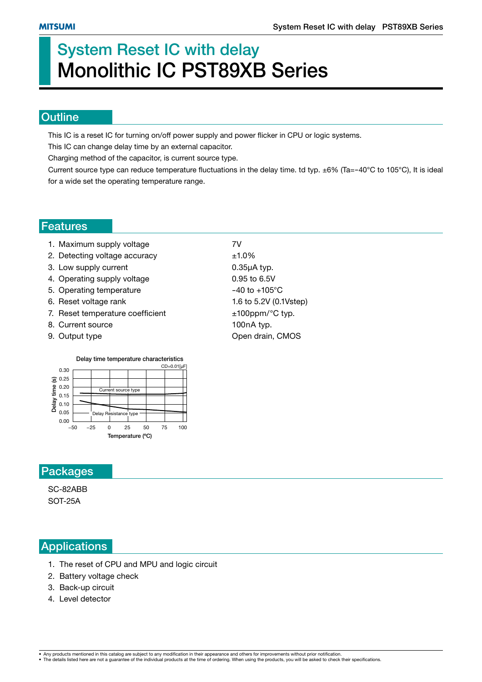# **System Reset IC with delay Monolithic IC PST89XB Series**

#### **Outline**

This IC is a reset IC for turning on/off power supply and power flicker in CPU or logic systems.

This IC can change delay time by an external capacitor.

Charging method of the capacitor, is current source type.

Current source type can reduce temperature fluctuations in the delay time. td typ.  $\pm 6\%$  (Ta=-40°C to 105°C), It is ideal for a wide set the operating temperature range.

#### **Features**

- 1. Maximum supply voltage **7V**
- 2. Detecting voltage accuracy  $\pm 1.0\%$
- 3. Low supply current 0.35µA typ.
- 4. Operating supply voltage 0.95 to 6.5V
- 5. Operating temperature  $-40$  to  $+105^{\circ}$ C
- 6. Reset voltage rank 1.6 to 5.2V (0.1Vstep)
- 7. Reset temperature coefficient  $±100$ ppm/ $°C$  typ.
- 8. Current source 100nA typ.
- 
- 9. Output type **Open drain, CMOS**



## **Packages**

SC-82ABB SOT-25A

## **Applications**

- 1. The reset of CPU and MPU and logic circuit
- 2. Battery voltage check
- 3. Back-up circuit
- 4. Level detector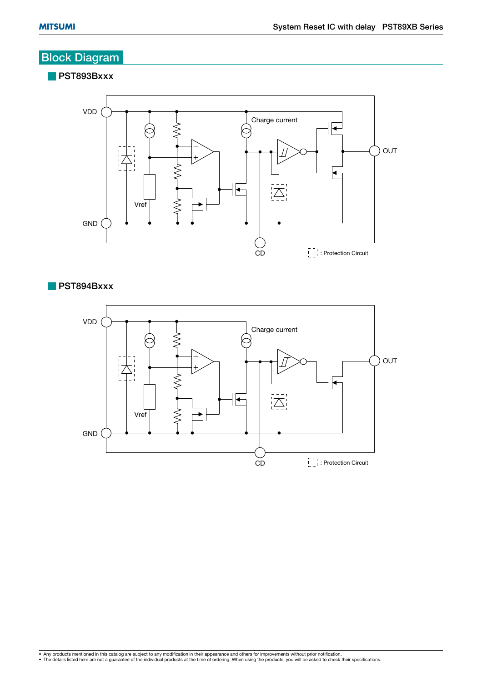## **Block Diagram**

**PST893Bxxx**



**PST894Bxxx**

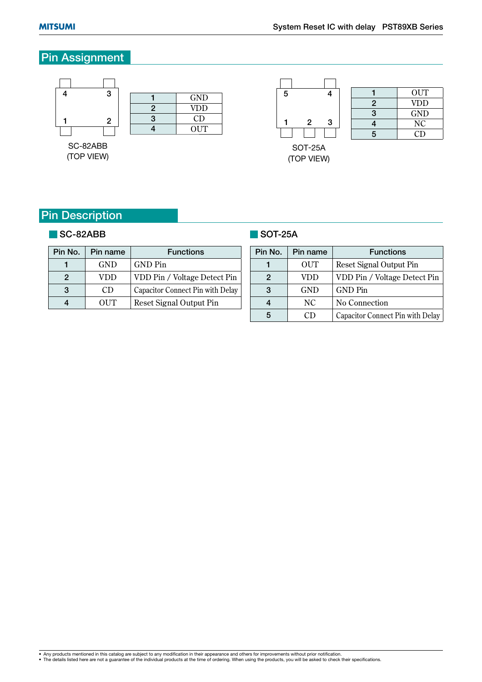## **Pin Assignment**



(TOP VIEW)

|   | <b>OUT</b>     |
|---|----------------|
| 2 | VDD            |
| 3 | GND            |
|   | N <sub>C</sub> |
| 5 | CD             |

SOT-25A (TOP VIEW)

## **Pin Description**

#### **SC-82ABB**

#### **SOT-25A**

| Pin No. | Pin name   | <b>Functions</b>                 |
|---------|------------|----------------------------------|
|         | <b>GND</b> | <b>GND</b> Pin                   |
| 2       | VDD        | VDD Pin / Voltage Detect Pin     |
| 3       | CD         | Capacitor Connect Pin with Delay |
|         | OUT        | <b>Reset Signal Output Pin</b>   |

| Pin No. | Pin name   | <b>Functions</b>                 |
|---------|------------|----------------------------------|
|         | OUT        | Reset Signal Output Pin          |
| 2       | VDD        | VDD Pin / Voltage Detect Pin     |
| 3       | <b>GND</b> | <b>GND Pin</b>                   |
|         | NC.        | No Connection                    |
|         | CD         | Capacitor Connect Pin with Delay |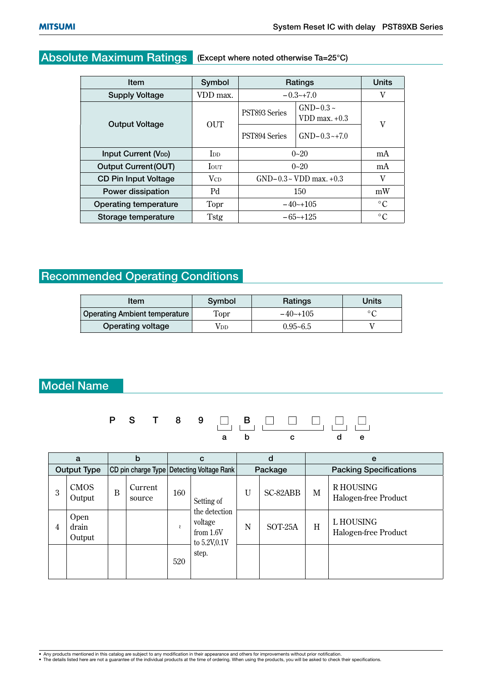## **Absolute Maximum Ratings (Except where noted otherwise Ta=25°C)**

| Item                        | Symbol                 | Ratings                        | <b>Units</b>                      |    |  |
|-----------------------------|------------------------|--------------------------------|-----------------------------------|----|--|
| <b>Supply Voltage</b>       | VDD max.               | $-0.3-17.0$                    |                                   | V  |  |
| <b>Output Voltage</b>       | <b>OUT</b>             | PST893 Series                  | $GND-0.3 \sim$<br>VDD max. $+0.3$ | V  |  |
|                             |                        | PST894 Series                  | $GND-0.3-+7.0$                    |    |  |
| <b>Input Current (VDD)</b>  | <b>I</b> <sub>DD</sub> | $0 - 20$                       | mA                                |    |  |
| <b>Output Current (OUT)</b> | <b>I</b> OUT           | $0 - 20$                       |                                   | mA |  |
| <b>CD Pin Input Voltage</b> | <b>V</b> <sub>CD</sub> | $GND-0.3 \sim VDD$ max. $+0.3$ |                                   | V  |  |
| Power dissipation           | Pd                     | 150                            | mW                                |    |  |
| Operating temperature       | Topr                   | $-40^{-}+105$                  | $\circ$ C                         |    |  |
| Storage temperature         | Tstg                   |                                | $-65-125$                         |    |  |

## **Recommended Operating Conditions**

| ltem                          | Symbol      | Ratings      | Units                      |
|-------------------------------|-------------|--------------|----------------------------|
| Operating Ambient temperature | <b>Topr</b> | $-40$ $-105$ | $\circ$ $\curvearrowright$ |
| Operating voltage             | Vdd         | $0.95 - 6.5$ |                            |

## **Model Name**



|   | a                       |   | b                                         |     | C                                                       |   | d                             |              | e                                       |
|---|-------------------------|---|-------------------------------------------|-----|---------------------------------------------------------|---|-------------------------------|--------------|-----------------------------------------|
|   | <b>Output Type</b>      |   | CD pin charge Type Detecting Voltage Rank |     | Package                                                 |   | <b>Packing Specifications</b> |              |                                         |
| 3 | <b>CMOS</b><br>Output   | B | Current<br>source                         | 160 | Setting of                                              | U | SC-82ABB                      | $\mathbf{M}$ | <b>RHOUSING</b><br>Halogen-free Product |
| 4 | Open<br>drain<br>Output |   |                                           |     | the detection<br>voltage<br>from $1.6V$<br>to 5.2V,0.1V | N | SOT-25A                       | H            | L HOUSING<br>Halogen-free Product       |
|   |                         |   |                                           | 520 | step.                                                   |   |                               |              |                                         |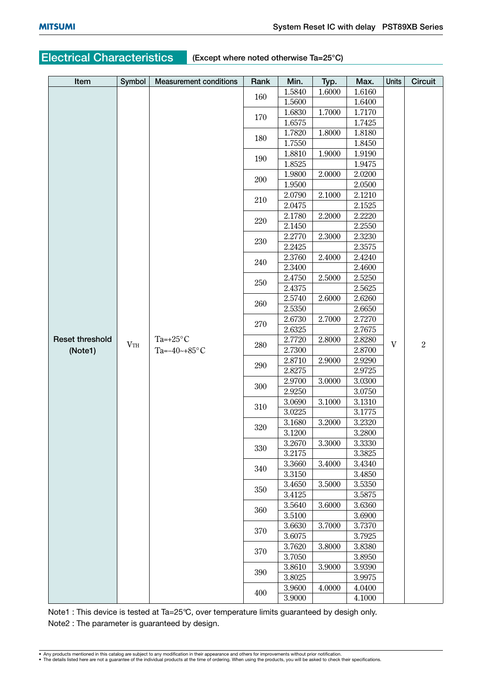## **Electrical Characteristics (Except where noted otherwise Ta=25°C)**

| Item                   | Symbol | <b>Measurement conditions</b>                                   | Rank | Min.   | Typ.   | Max.   | Units | Circuit        |
|------------------------|--------|-----------------------------------------------------------------|------|--------|--------|--------|-------|----------------|
|                        |        |                                                                 |      | 1.5840 | 1.6000 | 1.6160 |       |                |
|                        |        |                                                                 | 160  | 1.5600 |        | 1.6400 |       |                |
|                        |        |                                                                 | 170  | 1.6830 | 1.7000 | 1.7170 |       |                |
|                        |        |                                                                 |      | 1.6575 |        | 1.7425 |       |                |
|                        |        |                                                                 | 180  | 1.7820 | 1.8000 | 1.8180 |       |                |
|                        |        |                                                                 |      | 1.7550 |        | 1.8450 |       |                |
|                        |        |                                                                 | 190  | 1.8810 | 1.9000 | 1.9190 |       |                |
|                        |        |                                                                 |      | 1.8525 |        | 1.9475 |       |                |
|                        |        |                                                                 | 200  | 1.9800 | 2.0000 | 2.0200 |       |                |
|                        |        |                                                                 |      | 1.9500 |        | 2.0500 |       |                |
|                        |        |                                                                 | 210  | 2.0790 | 2.1000 | 2.1210 |       |                |
|                        |        |                                                                 |      | 2.0475 |        | 2.1525 |       |                |
|                        |        |                                                                 | 220  | 2.1780 | 2.2000 | 2.2220 |       |                |
|                        |        |                                                                 |      | 2.1450 |        | 2.2550 |       |                |
|                        |        |                                                                 | 230  | 2.2770 | 2.3000 | 2.3230 |       |                |
|                        |        |                                                                 |      | 2.2425 |        | 2.3575 |       |                |
|                        |        |                                                                 | 240  | 2.3760 | 2.4000 | 2.4240 |       |                |
|                        |        |                                                                 |      | 2.3400 |        | 2.4600 |       |                |
|                        |        |                                                                 | 250  | 2.4750 | 2.5000 | 2.5250 |       |                |
|                        |        |                                                                 |      | 2.4375 |        | 2.5625 |       |                |
|                        |        |                                                                 | 260  | 2.5740 | 2.6000 | 2.6260 |       |                |
|                        |        | Ta=+25 $\mathrm{^{\circ}C}$<br>$V_{\rm TH}$<br>Ta= $-40$ ~+85°C |      | 2.5350 |        | 2.6650 |       |                |
|                        |        |                                                                 | 270  | 2.6730 | 2.7000 | 2.7270 | V     |                |
|                        |        |                                                                 |      | 2.6325 |        | 2.7675 |       |                |
| <b>Reset threshold</b> |        |                                                                 | 280  | 2.7720 | 2.8000 | 2.8280 |       | $\overline{2}$ |
| (Note1)                |        |                                                                 |      | 2.7300 |        | 2.8700 |       |                |
|                        |        |                                                                 | 290  | 2.8710 | 2.9000 | 2.9290 |       |                |
|                        |        |                                                                 |      | 2.8275 |        | 2.9725 |       |                |
|                        |        |                                                                 | 300  | 2.9700 | 3.0000 | 3.0300 |       |                |
|                        |        |                                                                 |      | 2.9250 |        | 3.0750 |       |                |
|                        |        |                                                                 | 310  | 3.0690 | 3.1000 | 3.1310 |       |                |
|                        |        |                                                                 |      | 3.0225 |        | 3.1775 |       |                |
|                        |        |                                                                 | 320  | 3.1680 | 3.2000 | 3.2320 |       |                |
|                        |        |                                                                 |      | 3.1200 |        | 3.2800 |       |                |
|                        |        |                                                                 | 330  | 3.2670 | 3.3000 | 3.3330 |       |                |
|                        |        |                                                                 |      | 3.2175 |        | 3.3825 |       |                |
|                        |        |                                                                 | 340  | 3.3660 | 3.4000 | 3.4340 |       |                |
|                        |        |                                                                 |      | 3.3150 |        | 3.4850 |       |                |
|                        |        |                                                                 | 350  | 3.4650 | 3.5000 | 3.5350 |       |                |
|                        |        |                                                                 |      | 3.4125 |        | 3.5875 |       |                |
|                        |        |                                                                 | 360  | 3.5640 | 3.6000 | 3.6360 |       |                |
|                        |        |                                                                 |      | 3.5100 |        | 3.6900 |       |                |
|                        |        |                                                                 | 370  | 3.6630 | 3.7000 | 3.7370 |       |                |
|                        |        |                                                                 |      | 3.6075 |        | 3.7925 |       |                |
|                        |        |                                                                 | 370  | 3.7620 | 3.8000 | 3.8380 |       |                |
|                        |        |                                                                 |      | 3.7050 |        | 3.8950 |       |                |
|                        |        |                                                                 | 390  | 3.8610 | 3.9000 | 3.9390 |       |                |
|                        |        |                                                                 |      | 3.8025 |        | 3.9975 |       |                |
|                        |        |                                                                 | 400  | 3.9600 | 4.0000 | 4.0400 |       |                |
|                        |        |                                                                 |      | 3.9000 |        | 4.1000 |       |                |

Note1 : This device is tested at Ta=25°C, over temperature limits guaranteed by desigh only. Note2 : The parameter is guaranteed by design.

<sup>•</sup> Any products mentioned in this catalog are subject to any modification in their appearance and others for improvements without prior notification.<br>• The details listed here are not a guarantee of the individual products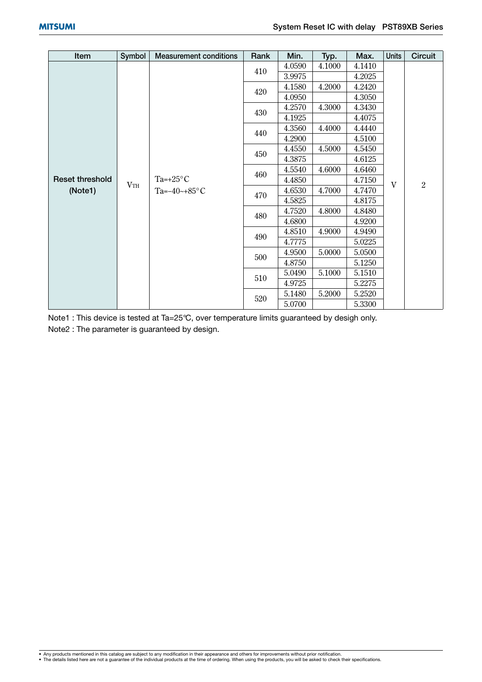| Item                   | Symbol | <b>Measurement conditions</b>           | Rank | Min.             | Typ.   | Max.   | <b>Units</b> | <b>Circuit</b> |
|------------------------|--------|-----------------------------------------|------|------------------|--------|--------|--------------|----------------|
|                        |        |                                         |      | 4.1000<br>4.0590 | 4.1410 |        |              |                |
|                        |        |                                         | 410  | 3.9975           |        | 4.2025 |              |                |
|                        |        |                                         | 420  | 4.1580           | 4.2000 | 4.2420 |              |                |
|                        |        |                                         |      | 4.0950           |        | 4.3050 |              |                |
|                        |        |                                         | 430  | 4.2570           | 4.3000 | 4.3430 |              |                |
|                        |        |                                         |      | 4.1925           |        | 4.4075 |              |                |
|                        |        |                                         | 440  | 4.3560           | 4.4000 | 4.4440 |              |                |
|                        |        |                                         |      | 4.2900           |        | 4.5100 |              |                |
|                        |        | Ta= $+25^{\circ}$ C<br>Ta= $-40$ ~+85°C |      | 4.4550           | 4.5000 | 4.5450 |              | $\overline{2}$ |
|                        | VTH    |                                         | 450  | 4.3875           |        | 4.6125 | V            |                |
|                        |        |                                         | 460  | 4.5540           | 4.6000 | 4.6460 |              |                |
| <b>Reset threshold</b> |        |                                         |      | 4.4850           |        | 4.7150 |              |                |
| (Note1)                |        |                                         | 470  | 4.6530           | 4.7000 | 4.7470 |              |                |
|                        |        |                                         |      | 4.5825           |        | 4.8175 |              |                |
|                        |        |                                         | 480  | 4.7520           | 4.8000 | 4.8480 |              |                |
|                        |        |                                         |      | 4.6800           |        | 4.9200 |              |                |
|                        |        |                                         | 490  | 4.8510           | 4.9000 | 4.9490 |              |                |
|                        |        |                                         |      | 4.7775           |        | 5.0225 |              |                |
|                        |        |                                         | 500  | 4.9500           | 5.0000 | 5.0500 |              |                |
|                        |        |                                         |      | 4.8750           |        | 5.1250 |              |                |
|                        |        |                                         | 510  | 5.0490           | 5.1000 | 5.1510 |              |                |
|                        |        |                                         |      | 4.9725           |        | 5.2275 |              |                |
|                        |        |                                         |      | 5.1480           | 5.2000 | 5.2520 |              |                |
|                        |        |                                         | 520  | 5.0700           |        | 5.3300 |              |                |

Note1 : This device is tested at Ta=25°C, over temperature limits guaranteed by desigh only. Note2 : The parameter is guaranteed by design.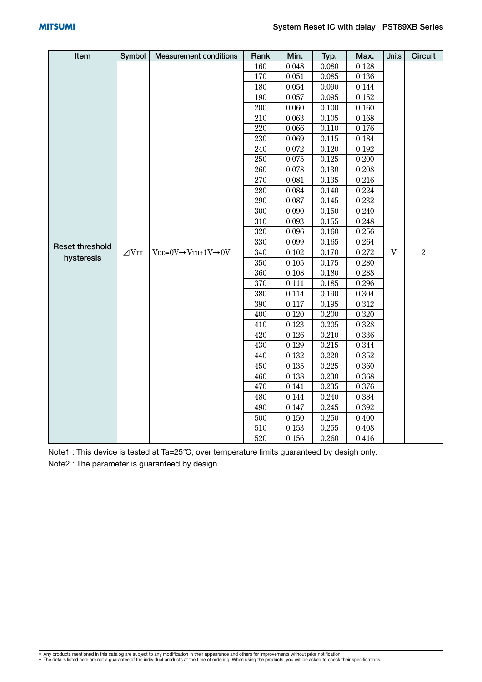| Item                   | Symbol       | <b>Measurement conditions</b>                    | Rank    | Min.      | Typ.      | Max.  | Units | Circuit        |
|------------------------|--------------|--------------------------------------------------|---------|-----------|-----------|-------|-------|----------------|
|                        |              |                                                  | 160     | 0.048     | 0.080     | 0.128 |       |                |
|                        |              |                                                  | 170     | 0.051     | 0.085     | 0.136 |       |                |
|                        |              |                                                  | 180     | 0.054     | 0.090     | 0.144 |       |                |
|                        |              |                                                  | 190     | 0.057     | 0.095     | 0.152 |       |                |
|                        |              |                                                  | 200     | 0.060     | 0.100     | 0.160 |       |                |
|                        |              |                                                  | 210     | 0.063     | 0.105     | 0.168 |       |                |
|                        |              |                                                  | 220     | 0.066     | 0.110     | 0.176 |       |                |
|                        |              |                                                  | 230     | 0.069     | 0.115     | 0.184 |       |                |
|                        |              |                                                  | 240     | $0.072\,$ | 0.120     | 0.192 |       |                |
|                        |              |                                                  | 250     | 0.075     | $0.125\,$ | 0.200 |       |                |
|                        |              |                                                  | 260     | 0.078     | 0.130     | 0.208 |       |                |
|                        |              |                                                  | 270     | 0.081     | 0.135     | 0.216 |       |                |
|                        |              |                                                  | 280     | 0.084     | 0.140     | 0.224 |       |                |
|                        |              |                                                  | 290     | 0.087     | 0.145     | 0.232 |       |                |
|                        |              |                                                  | $300\,$ | 0.090     | 0.150     | 0.240 |       |                |
|                        |              |                                                  | 310     | 0.093     | 0.155     | 0.248 |       |                |
|                        |              |                                                  | 320     | 0.096     | 0.160     | 0.256 |       |                |
| <b>Reset threshold</b> |              |                                                  | 330     | 0.099     | 0.165     | 0.264 |       |                |
| hysteresis             | $\angle$ VTH | $V_{DD}=0V \rightarrow V_{TH}+1V \rightarrow 0V$ | 340     | 0.102     | 0.170     | 0.272 | V     | $\overline{2}$ |
|                        |              |                                                  | 350     | 0.105     | 0.175     | 0.280 |       |                |
|                        |              |                                                  | 360     | 0.108     | 0.180     | 0.288 |       |                |
|                        |              |                                                  | 370     | 0.111     | 0.185     | 0.296 |       |                |
|                        |              |                                                  | 380     | 0.114     | 0.190     | 0.304 |       |                |
|                        |              |                                                  | 390     | 0.117     | 0.195     | 0.312 |       |                |
|                        |              |                                                  | 400     | 0.120     | 0.200     | 0.320 |       |                |
|                        |              |                                                  | 410     | 0.123     | 0.205     | 0.328 |       |                |
|                        |              |                                                  | 420     | 0.126     | 0.210     | 0.336 |       |                |
|                        |              |                                                  | 430     | 0.129     | 0.215     | 0.344 |       |                |
|                        |              |                                                  | 440     | 0.132     | 0.220     | 0.352 |       |                |
|                        |              |                                                  | 450     | 0.135     | 0.225     | 0.360 |       |                |
|                        |              |                                                  | 460     | 0.138     | 0.230     | 0.368 |       |                |
|                        |              |                                                  | 470     | 0.141     | 0.235     | 0.376 |       |                |
|                        |              |                                                  | 480     | 0.144     | 0.240     | 0.384 |       |                |
|                        |              |                                                  | 490     | 0.147     | 0.245     | 0.392 |       |                |
|                        |              |                                                  | 500     | 0.150     | 0.250     | 0.400 |       |                |
|                        |              |                                                  | 510     | 0.153     | 0.255     | 0.408 |       |                |
|                        |              |                                                  | 520     | 0.156     | 0.260     | 0.416 |       |                |

Note1 : This device is tested at Ta=25°C, over temperature limits guaranteed by desigh only. Note2 : The parameter is guaranteed by design.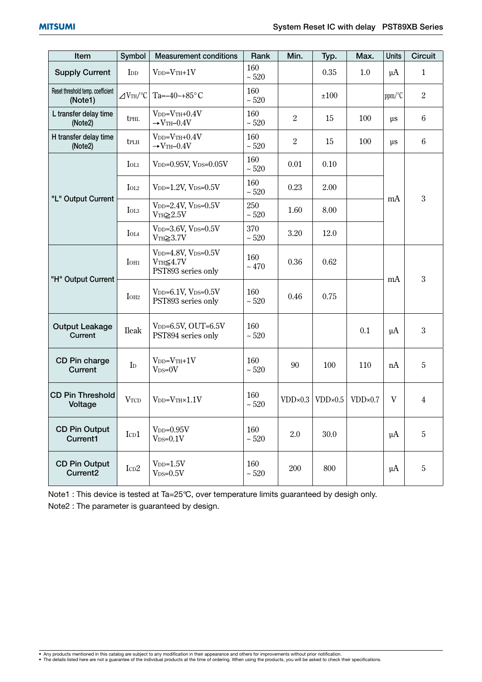| Item                                         | Symbol                                      | <b>Measurement conditions</b>                                          | Rank              | Min.             | Typ.             | Max.      | <b>Units</b> | <b>Circuit</b> |
|----------------------------------------------|---------------------------------------------|------------------------------------------------------------------------|-------------------|------------------|------------------|-----------|--------------|----------------|
| <b>Supply Current</b>                        | I <sub>DD</sub>                             | $VDD=VTH+1V$                                                           | 160<br>$\sim 520$ |                  | 0.35             | 1.0       | $\mu A$      | 1              |
| Reset threshold temp. coefficient<br>(Note1) | $\angle$ VTH/°C                             | Ta= $-40$ ~+85°C                                                       | 160<br>$\sim 520$ |                  | ±100             |           | ppm/°C       | $\overline{2}$ |
| L transfer delay time<br>(Note2)             | <b>t</b> PHL                                | $V_{DD}=V_{TH}+0.4V$<br>$\rightarrow$ VTH-0.4V                         | 160<br>$\sim 520$ | $\overline{2}$   | 15               | 100       | $\mu$ s      | $\,6\,$        |
| H transfer delay time<br>(Note2)             | tplh                                        | $V_{DD}=V_{TH}+0.4V$<br>$\rightarrow$ VTH-0.4V                         | 160<br>~520       | $\overline{2}$   | 15               | 100       | $\mu$ s      | $\,6\,$        |
|                                              | $I_{OL1}$                                   | V <sub>DD</sub> =0.95V, V <sub>DS</sub> =0.05V                         | 160<br>$\sim 520$ | 0.01             | 0.10             |           |              |                |
|                                              | I <sub>OL2</sub>                            | $V_{DD}=1.2V$ , $V_{DS}=0.5V$                                          | 160<br>$\sim 520$ | 0.23             | 2.00             |           |              |                |
| "L" Output Current                           | IOL <sub>3</sub>                            | $V_{DD} = 2.4V, V_{DS} = 0.5V$<br>$VTH\geq 2.5V$                       | 250<br>$\sim 520$ | 1.60             | 8.00             |           | mA           | 3              |
|                                              | $\mbox{IoL4}$                               | V <sub>DD</sub> =3.6V, V <sub>DS</sub> = $0.5V$<br>$VTH \geq 3.7V$     | 370<br>$\sim 520$ | 3.20             | 12.0             |           |              |                |
|                                              | I <sub>OH1</sub>                            | $V_{DD}=4.8V$ , $V_{DS}=0.5V$<br>$VTH \leq 4.7V$<br>PST893 series only | 160<br>~170       | 0.36             | 0.62             |           | mA           | 3              |
| "H" Output Current                           | IOH <sub>2</sub>                            | $V_{DD}=6.1V$ , $V_{DS}=0.5V$<br>PST893 series only                    | 160<br>$\sim 520$ | 0.46             | 0.75             |           |              |                |
| <b>Output Leakage</b><br>Current             | Ileak                                       | $V_{DD}=6.5V$ , OUT=6.5V<br>PST894 series only                         | 160<br>$\sim 520$ |                  |                  | 0.1       | $\mu$ A      | 3              |
| CD Pin charge<br>Current                     | $\mathbf{I}_{\mathrm{D}}$                   | $VDD=VTH+1V$<br>$V_{DS=0}V$                                            | 160<br>$\sim 520$ | 90               | 100              | 110       | nA           | 5              |
| <b>CD Pin Threshold</b><br>Voltage           | $\ensuremath{\text{V}}\xspace_{\text{TCD}}$ | $V_{DD}=V_{TH}\times1.1V$                                              | 160<br>$\sim 520$ | $VDD \times 0.3$ | $VDD \times 0.5$ | $VDD*0.7$ | V            | 4              |
| <b>CD Pin Output</b><br>Current1             | ICD1                                        | $V_{DD}=0.95V$<br>$V_{DS}=0.1V$                                        | 160<br>$\sim 520$ | 2.0              | 30.0             |           | $\mu$ A      | 5              |
| <b>CD Pin Output</b><br>Current <sub>2</sub> | $\mbox{I}\mbox{c}\mbox{D}2$                 | $VDD=1.5V$<br>$V_{DS}=0.5V$                                            | 160<br>$\sim 520$ | 200              | 800              |           | $\mu$ A      | 5              |

Note1 : This device is tested at Ta=25°C, over temperature limits guaranteed by desigh only. Note2 : The parameter is guaranteed by design.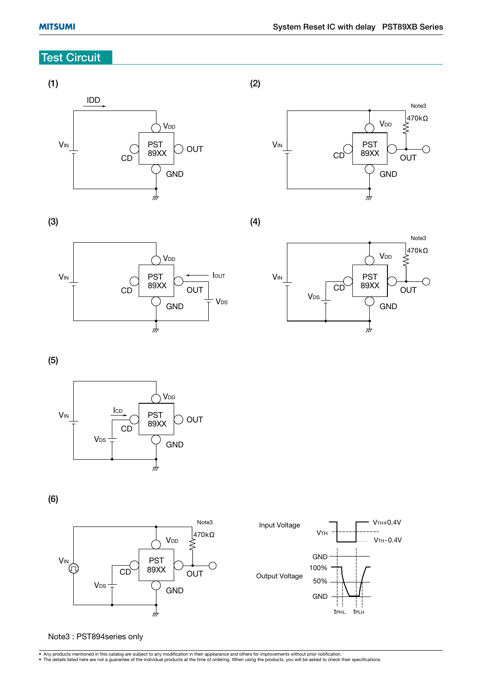## **Test Circuit**

#### **(1)**



**(2)**



**(3)**



**(4)**



**(5)**



**(6)**





Note3 : PST894series only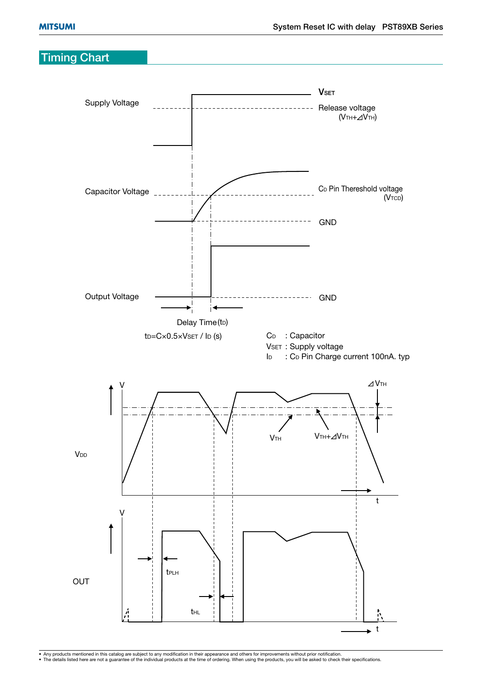## **Timing Chart**

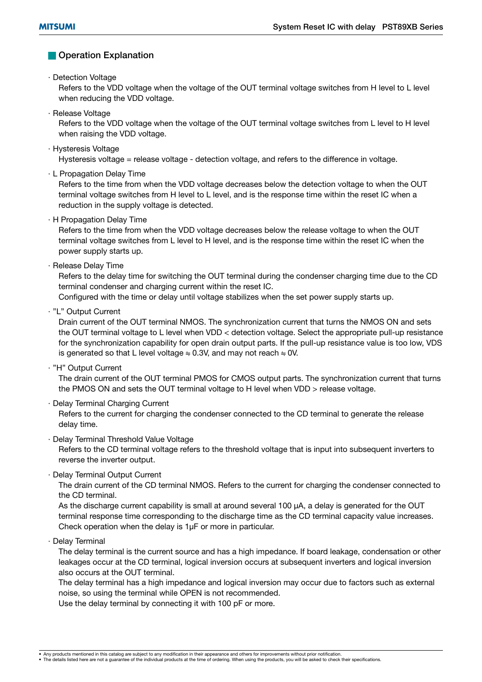#### **Operation Explanation**

· Detection Voltage

 Refers to the VDD voltage when the voltage of the OUT terminal voltage switches from H level to L level when reducing the VDD voltage.

· Release Voltage

 Refers to the VDD voltage when the voltage of the OUT terminal voltage switches from L level to H level when raising the VDD voltage.

· Hysteresis Voltage

Hysteresis voltage = release voltage - detection voltage, and refers to the difference in voltage.

· L Propagation Delay Time

 Refers to the time from when the VDD voltage decreases below the detection voltage to when the OUT terminal voltage switches from H level to L level, and is the response time within the reset IC when a reduction in the supply voltage is detected.

· H Propagation Delay Time

 Refers to the time from when the VDD voltage decreases below the release voltage to when the OUT terminal voltage switches from L level to H level, and is the response time within the reset IC when the power supply starts up.

· Release Delay Time

 Refers to the delay time for switching the OUT terminal during the condenser charging time due to the CD terminal condenser and charging current within the reset IC.

Configured with the time or delay until voltage stabilizes when the set power supply starts up.

· "L" Output Current

 Drain current of the OUT terminal NMOS. The synchronization current that turns the NMOS ON and sets the OUT terminal voltage to L level when VDD < detection voltage. Select the appropriate pull-up resistance for the synchronization capability for open drain output parts. If the pull-up resistance value is too low, VDS is generated so that L level voltage  $\div$  0.3V, and may not reach  $\div$  0V.

· "H" Output Current

 The drain current of the OUT terminal PMOS for CMOS output parts. The synchronization current that turns the PMOS ON and sets the OUT terminal voltage to H level when VDD > release voltage.

· Delay Terminal Charging Current

 Refers to the current for charging the condenser connected to the CD terminal to generate the release delay time.

· Delay Terminal Threshold Value Voltage

 Refers to the CD terminal voltage refers to the threshold voltage that is input into subsequent inverters to reverse the inverter output.

· Delay Terminal Output Current

 The drain current of the CD terminal NMOS. Refers to the current for charging the condenser connected to the CD terminal.

As the discharge current capability is small at around several 100  $\mu$ A, a delay is generated for the OUT terminal response time corresponding to the discharge time as the CD terminal capacity value increases. Check operation when the delay is 1µF or more in particular.

· Delay Terminal

 The delay terminal is the current source and has a high impedance. If board leakage, condensation or other leakages occur at the CD terminal, logical inversion occurs at subsequent inverters and logical inversion also occurs at the OUT terminal.

 The delay terminal has a high impedance and logical inversion may occur due to factors such as external noise, so using the terminal while OPEN is not recommended.

Use the delay terminal by connecting it with 100 pF or more.

<sup>•</sup> Any products mentioned in this catalog are subject to any modification in their appearance and others for improvements without prior notification.<br>• The details listed here are not a guarantee of the individual products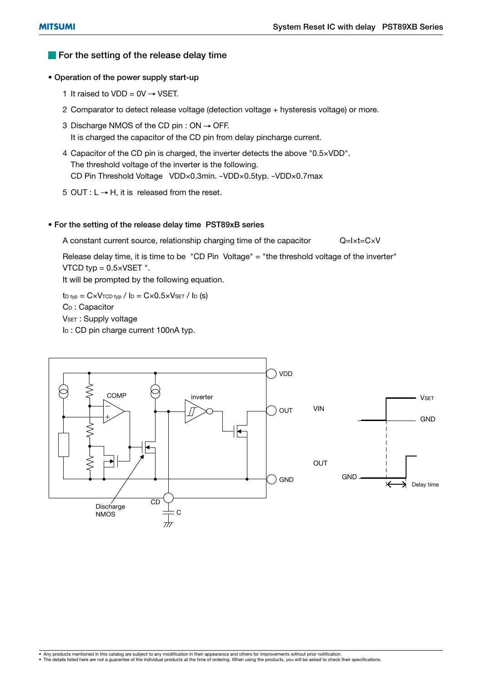#### **For the setting of the release delay time**

#### **• Operation of the power supply start-up**

- 1 It raised to VDD =  $0V \rightarrow VSET$ .
- 2 Comparator to detect release voltage (detection voltage + hysteresis voltage) or more.
- 3 Discharge NMOS of the CD pin :  $ON \rightarrow$  OFF. It is charged the capacitor of the CD pin from delay pincharge current.
- 4 Capacitor of the CD pin is charged, the inverter detects the above "0.5×VDD". The threshold voltage of the inverter is the following. CD Pin Threshold Voltage VDD×0.3min. -VDD×0.5typ. -VDD×0.7max
- 5 OUT :  $L \rightarrow H$ , it is released from the reset.

#### **• For the setting of the release delay time PST89xB series**

A constant current source, relationship charging time of the capacitor  $Q=I\times t=C\times V$ 

 Release delay time, it is time to be "CD Pin Voltage" = "the threshold voltage of the inverter" VTCD typ  $= 0.5 \times VSET$  ".

It will be prompted by the following equation.

 $t_{D \text{ typ}} = C \times V_{\text{TCD typ}} / I_D = C \times 0.5 \times V_{\text{SET}} / I_D$  (s) CD : Capacitor VSET : Supply voltage I<sub>D</sub>: CD pin charge current 100nA typ.

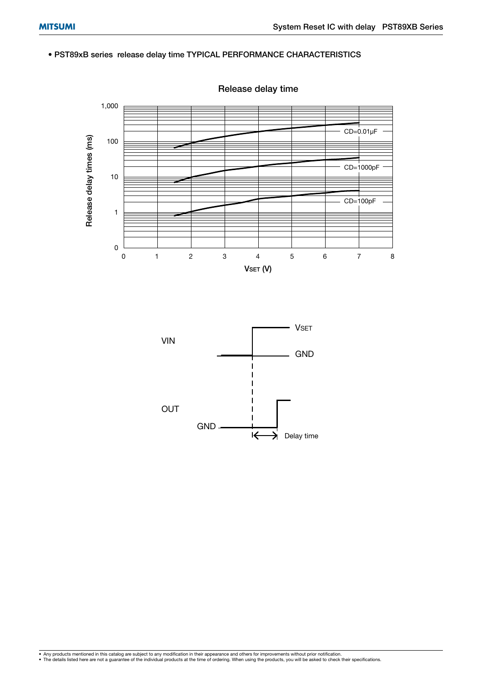#### **• PST89xB series release delay time TYPICAL PERFORMANCE CHARACTERISTICS**



**Release delay time**

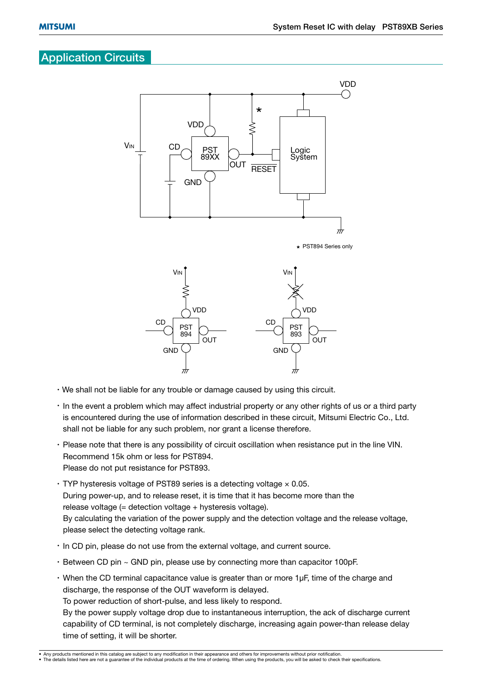## **Application Circuits**



- We shall not be liable for any trouble or damage caused by using this circuit.
- In the event a problem which may affect industrial property or any other rights of us or a third party is encountered during the use of information described in these circuit, Mitsumi Electric Co., Ltd. shall not be liable for any such problem, nor grant a license therefore.
- Please note that there is any possibility of circuit oscillation when resistance put in the line VIN. Recommend 15k ohm or less for PST894. Please do not put resistance for PST893.
- $\cdot$  TYP hysteresis voltage of PST89 series is a detecting voltage  $\times$  0.05. During power-up, and to release reset, it is time that it has become more than the release voltage (= detection voltage + hysteresis voltage). By calculating the variation of the power supply and the detection voltage and the release voltage, please select the detecting voltage rank.
- In CD pin, please do not use from the external voltage, and current source.
- Between CD pin ~ GND pin, please use by connecting more than capacitor 100pF.
- When the CD terminal capacitance value is greater than or more 1µF, time of the charge and discharge, the response of the OUT waveform is delayed. To power reduction of short-pulse, and less likely to respond. By the power supply voltage drop due to instantaneous interruption, the ack of discharge current capability of CD terminal, is not completely discharge, increasing again power-than release delay time of setting, it will be shorter.

<sup>•</sup> Any products mentioned in this catalog are subject to any modification in their appearance and others for improvements without prior notification.<br>• The details listed here are not a guarantee of the individual products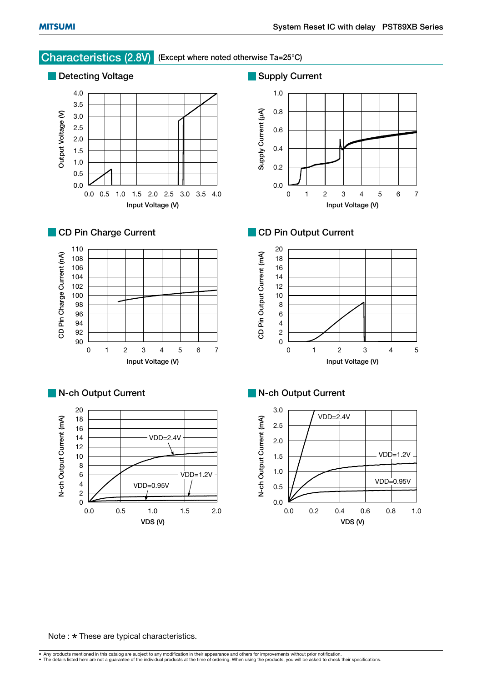

#### Note :  $\star$  These are typical characteristics.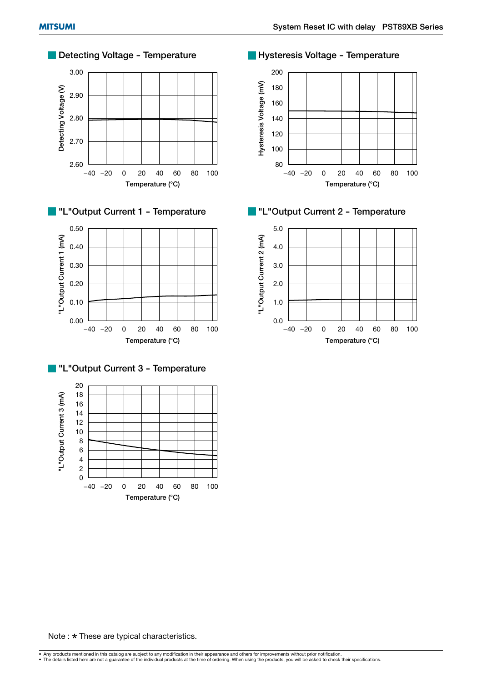

Note :  $\star$  These are typical characteristics.

• Any products mentioned in this catalog are subject to any modification in their appearance and others for improvements without prior notification.<br>• The details listed here are not a guarantee of the individual products